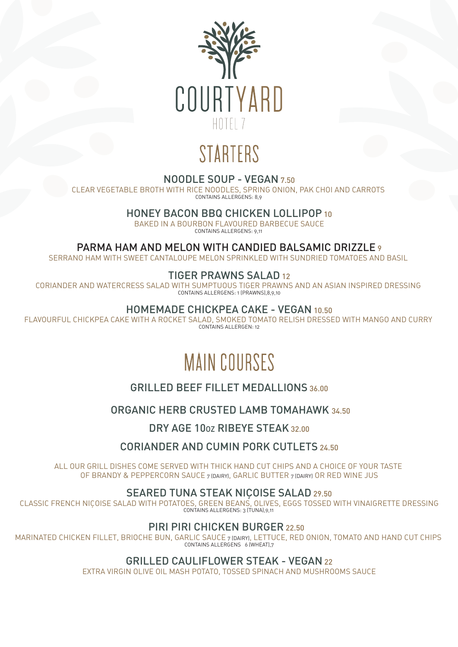

# STARTERS

#### NOODLE SOUP - VEGAN 7.50

CLEAR VEGETABLE BROTH WITH RICE NOODLES, SPRING ONION, PAK CHOI AND CARROTS CONTAINS ALLERGENS: 8,9

HONEY BACON BBQ CHICKEN LOLLIPOP 10

BAKED IN A BOURBON FLAVOURED BARBECUE SAUCE CONTAINS ALLERGENS: 9,11

PARMA HAM AND MELON WITH CANDIED BALSAMIC DRIZZLE 9

SERRANO HAM WITH SWEET CANTALOUPE MELON SPRINKLED WITH SUNDRIED TOMATOES AND BASIL

## TIGER PRAWNS SALAD 12

CORIANDER AND WATERCRESS SALAD WITH SUMPTUOUS TIGER PRAWNS AND AN ASIAN INSPIRED DRESSING CONTAINS ALLERGENS: 1 (PRAWNS),8,9,10

#### HOMEMADE CHICKPEA CAKE - VEGAN 10.50

FLAVOURFUL CHICKPEA CAKE WITH A ROCKET SALAD, SMOKED TOMATO RELISH DRESSED WITH MANGO AND CURRY CONTAINS ALLERGEN: 12

## MAIN COURSES

## GRILLED BEEF FILLET MEDALLIONS 36.00

## ORGANIC HERB CRUSTED LAMB TOMAHAWK 34.50

DRY AGE 10oz RIBEYE STEAK 32.00

## CORIANDER AND CUMIN PORK CUTLETS 24.50

ALL OUR GRILL DISHES COME SERVED WITH THICK HAND CUT CHIPS AND A CHOICE OF YOUR TASTE OF BRANDY & PEPPERCORN SAUCE 7 (DAIRY), GARLIC BUTTER 7 (DAIRY) OR RED WINE JUS

## SEARED TUNA STEAK NICOISE SALAD 29.50

CLASSIC FRENCH NIÇOISE SALAD WITH POTATOES, GREEN BEANS, OLIVES, EGGS TOSSED WITH VINAIGRETTE DRESSING CONTAINS ALLERGENS: 3 (TUNA), 9,11

#### PIRI PIRI CHICKEN BURGER 22.50

MARINATED CHICKEN FILLET, BRIOCHE BUN, GARLIC SAUCE 7 (DAIRY), LETTUCE, RED ONION, TOMATO AND HAND CUT CHIPS CONTAINS ALLERGENS 6 (WHEAT),7

## GRILLED CAULIFLOWER STEAK - VEGAN 22

EXTRA VIRGIN OLIVE OIL MASH POTATO, TOSSED SPINACH AND MUSHROOMS SAUCE